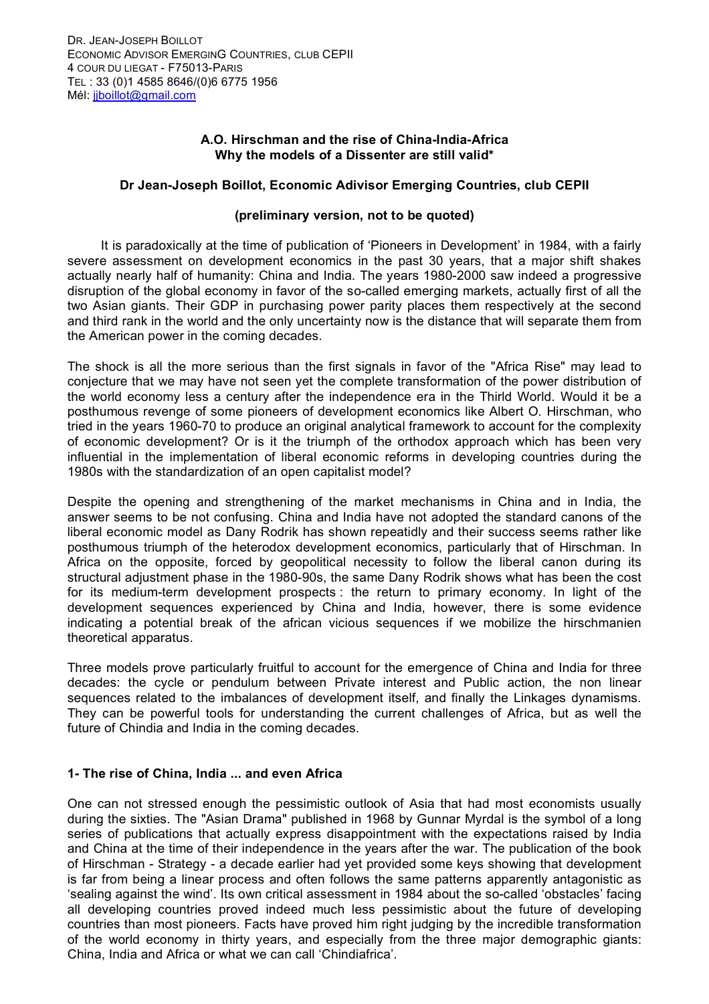# **A.O. Hirschman and the rise of China-India-Africa Why the models of a Dissenter are still valid\***

# **Dr Jean-Joseph Boillot, Economic Adivisor Emerging Countries, club CEPII**

### **(preliminary version, not to be quoted)**

It is paradoxically at the time of publication of 'Pioneers in Development' in 1984, with a fairly severe assessment on development economics in the past 30 years, that a major shift shakes actually nearly half of humanity: China and India. The years 1980-2000 saw indeed a progressive disruption of the global economy in favor of the so-called emerging markets, actually first of all the two Asian giants. Their GDP in purchasing power parity places them respectively at the second and third rank in the world and the only uncertainty now is the distance that will separate them from the American power in the coming decades.

The shock is all the more serious than the first signals in favor of the "Africa Rise" may lead to conjecture that we may have not seen yet the complete transformation of the power distribution of the world economy less a century after the independence era in the Thirld World. Would it be a posthumous revenge of some pioneers of development economics like Albert O. Hirschman, who tried in the years 1960-70 to produce an original analytical framework to account for the complexity of economic development? Or is it the triumph of the orthodox approach which has been very influential in the implementation of liberal economic reforms in developing countries during the 1980s with the standardization of an open capitalist model?

Despite the opening and strengthening of the market mechanisms in China and in India, the answer seems to be not confusing. China and India have not adopted the standard canons of the liberal economic model as Dany Rodrik has shown repeatidly and their success seems rather like posthumous triumph of the heterodox development economics, particularly that of Hirschman. In Africa on the opposite, forced by geopolitical necessity to follow the liberal canon during its structural adjustment phase in the 1980-90s, the same Dany Rodrik shows what has been the cost for its medium-term development prospects : the return to primary economy. In light of the development sequences experienced by China and India, however, there is some evidence indicating a potential break of the african vicious sequences if we mobilize the hirschmanien theoretical apparatus.

Three models prove particularly fruitful to account for the emergence of China and India for three decades: the cycle or pendulum between Private interest and Public action, the non linear sequences related to the imbalances of development itself, and finally the Linkages dynamisms. They can be powerful tools for understanding the current challenges of Africa, but as well the future of Chindia and India in the coming decades.

# **1- The rise of China, India ... and even Africa**

One can not stressed enough the pessimistic outlook of Asia that had most economists usually during the sixties. The "Asian Drama" published in 1968 by Gunnar Myrdal is the symbol of a long series of publications that actually express disappointment with the expectations raised by India and China at the time of their independence in the years after the war. The publication of the book of Hirschman - Strategy - a decade earlier had yet provided some keys showing that development is far from being a linear process and often follows the same patterns apparently antagonistic as 'sealing against the wind'. Its own critical assessment in 1984 about the so-called 'obstacles' facing all developing countries proved indeed much less pessimistic about the future of developing countries than most pioneers. Facts have proved him right judging by the incredible transformation of the world economy in thirty years, and especially from the three major demographic giants: China, India and Africa or what we can call 'Chindiafrica'.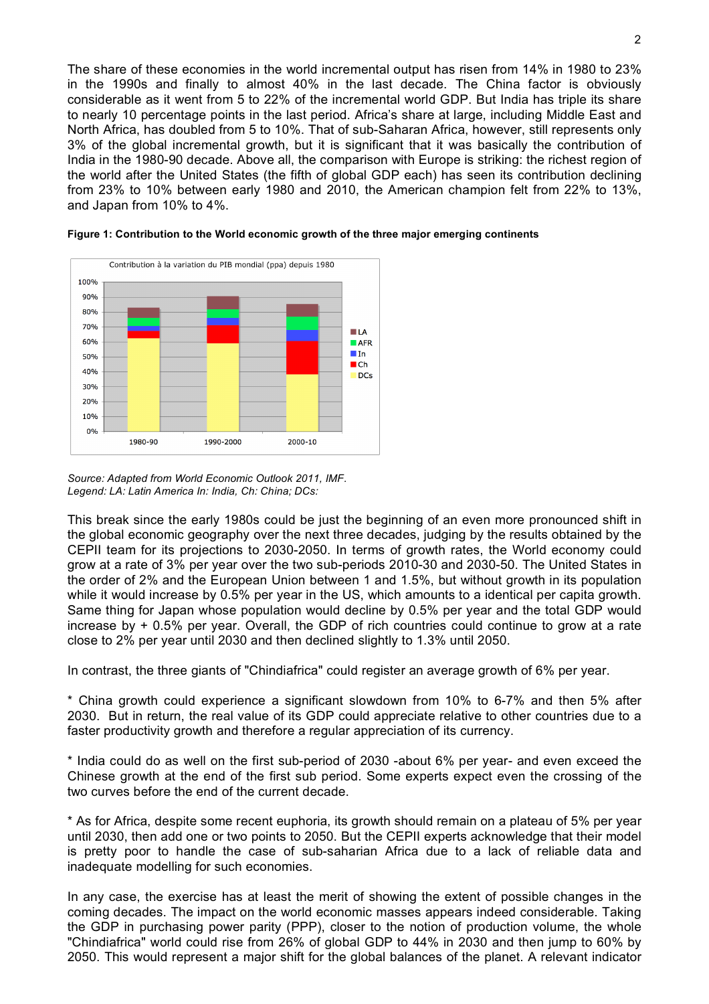The share of these economies in the world incremental output has risen from 14% in 1980 to 23% in the 1990s and finally to almost 40% in the last decade. The China factor is obviously considerable as it went from 5 to 22% of the incremental world GDP. But India has triple its share to nearly 10 percentage points in the last period. Africa's share at large, including Middle East and North Africa, has doubled from 5 to 10%. That of sub-Saharan Africa, however, still represents only 3% of the global incremental growth, but it is significant that it was basically the contribution of India in the 1980-90 decade. Above all, the comparison with Europe is striking: the richest region of the world after the United States (the fifth of global GDP each) has seen its contribution declining from 23% to 10% between early 1980 and 2010, the American champion felt from 22% to 13%, and Japan from 10% to 4%.





*Source: Adapted from World Economic Outlook 2011, IMF. Legend: LA: Latin America In: India, Ch: China; DCs:* 

This break since the early 1980s could be just the beginning of an even more pronounced shift in the global economic geography over the next three decades, judging by the results obtained by the CEPII team for its projections to 2030-2050. In terms of growth rates, the World economy could grow at a rate of 3% per year over the two sub-periods 2010-30 and 2030-50. The United States in the order of 2% and the European Union between 1 and 1.5%, but without growth in its population while it would increase by 0.5% per year in the US, which amounts to a identical per capita growth. Same thing for Japan whose population would decline by 0.5% per year and the total GDP would increase by + 0.5% per year. Overall, the GDP of rich countries could continue to grow at a rate close to 2% per year until 2030 and then declined slightly to 1.3% until 2050.

In contrast, the three giants of "Chindiafrica" could register an average growth of 6% per year.

\* China growth could experience a significant slowdown from 10% to 6-7% and then 5% after 2030. But in return, the real value of its GDP could appreciate relative to other countries due to a faster productivity growth and therefore a regular appreciation of its currency.

\* India could do as well on the first sub-period of 2030 -about 6% per year- and even exceed the Chinese growth at the end of the first sub period. Some experts expect even the crossing of the two curves before the end of the current decade.

\* As for Africa, despite some recent euphoria, its growth should remain on a plateau of 5% per year until 2030, then add one or two points to 2050. But the CEPII experts acknowledge that their model is pretty poor to handle the case of sub-saharian Africa due to a lack of reliable data and inadequate modelling for such economies.

In any case, the exercise has at least the merit of showing the extent of possible changes in the coming decades. The impact on the world economic masses appears indeed considerable. Taking the GDP in purchasing power parity (PPP), closer to the notion of production volume, the whole "Chindiafrica" world could rise from 26% of global GDP to 44% in 2030 and then jump to 60% by 2050. This would represent a major shift for the global balances of the planet. A relevant indicator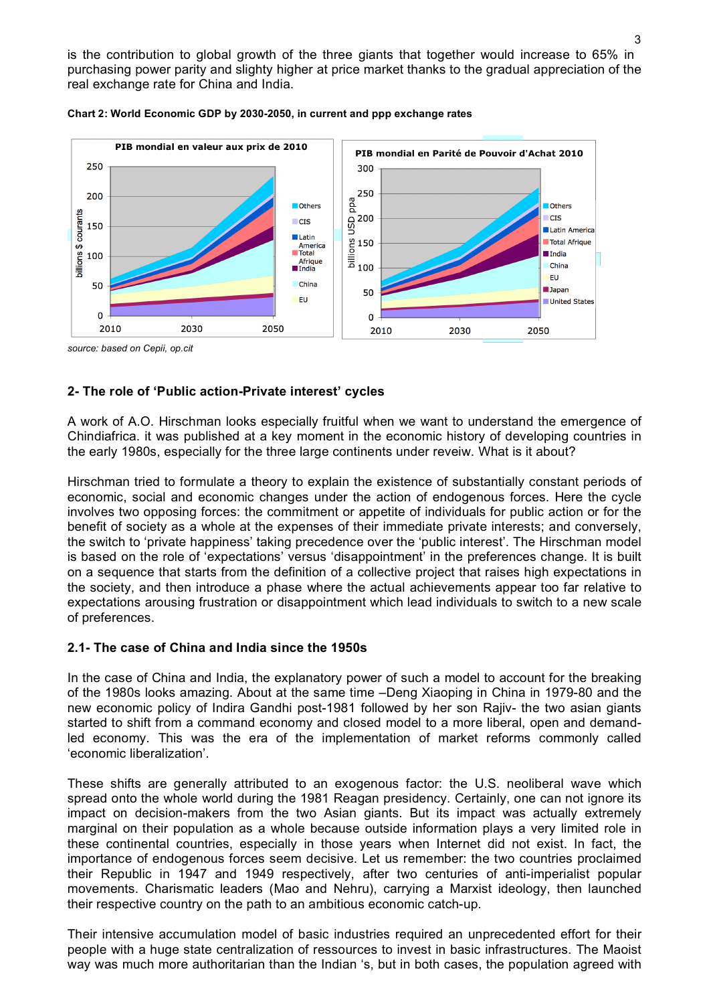is the contribution to global growth of the three giants that together would increase to 65% in purchasing power parity and slighty higher at price market thanks to the gradual appreciation of the real exchange rate for China and India.





*source: based on Cepii, op.cit*

# **2- The role of 'Public action-Private interest' cycles**

A work of A.O. Hirschman looks especially fruitful when we want to understand the emergence of Chindiafrica. it was published at a key moment in the economic history of developing countries in the early 1980s, especially for the three large continents under reveiw. What is it about?

Hirschman tried to formulate a theory to explain the existence of substantially constant periods of economic, social and economic changes under the action of endogenous forces. Here the cycle involves two opposing forces: the commitment or appetite of individuals for public action or for the benefit of society as a whole at the expenses of their immediate private interests; and conversely, the switch to 'private happiness' taking precedence over the 'public interest'. The Hirschman model is based on the role of 'expectations' versus 'disappointment' in the preferences change. It is built on a sequence that starts from the definition of a collective project that raises high expectations in the society, and then introduce a phase where the actual achievements appear too far relative to expectations arousing frustration or disappointment which lead individuals to switch to a new scale of preferences.

# **2.1- The case of China and India since the 1950s**

In the case of China and India, the explanatory power of such a model to account for the breaking of the 1980s looks amazing. About at the same time –Deng Xiaoping in China in 1979-80 and the new economic policy of Indira Gandhi post-1981 followed by her son Rajiv- the two asian giants started to shift from a command economy and closed model to a more liberal, open and demandled economy. This was the era of the implementation of market reforms commonly called 'economic liberalization'.

These shifts are generally attributed to an exogenous factor: the U.S. neoliberal wave which spread onto the whole world during the 1981 Reagan presidency. Certainly, one can not ignore its impact on decision-makers from the two Asian giants. But its impact was actually extremely marginal on their population as a whole because outside information plays a very limited role in these continental countries, especially in those years when Internet did not exist. In fact, the importance of endogenous forces seem decisive. Let us remember: the two countries proclaimed their Republic in 1947 and 1949 respectively, after two centuries of anti-imperialist popular movements. Charismatic leaders (Mao and Nehru), carrying a Marxist ideology, then launched their respective country on the path to an ambitious economic catch-up.

Their intensive accumulation model of basic industries required an unprecedented effort for their people with a huge state centralization of ressources to invest in basic infrastructures. The Maoist way was much more authoritarian than the Indian 's, but in both cases, the population agreed with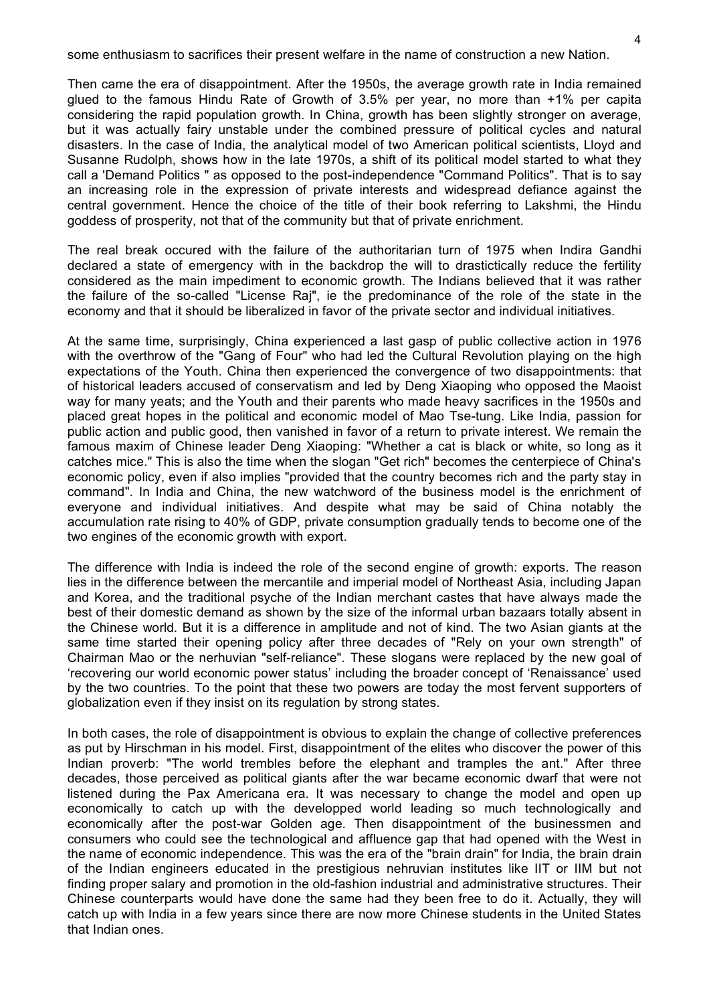some enthusiasm to sacrifices their present welfare in the name of construction a new Nation.

Then came the era of disappointment. After the 1950s, the average growth rate in India remained glued to the famous Hindu Rate of Growth of 3.5% per year, no more than +1% per capita considering the rapid population growth. In China, growth has been slightly stronger on average, but it was actually fairy unstable under the combined pressure of political cycles and natural disasters. In the case of India, the analytical model of two American political scientists, Lloyd and Susanne Rudolph, shows how in the late 1970s, a shift of its political model started to what they call a 'Demand Politics " as opposed to the post-independence "Command Politics". That is to say an increasing role in the expression of private interests and widespread defiance against the central government. Hence the choice of the title of their book referring to Lakshmi, the Hindu goddess of prosperity, not that of the community but that of private enrichment.

The real break occured with the failure of the authoritarian turn of 1975 when Indira Gandhi declared a state of emergency with in the backdrop the will to drastictically reduce the fertility considered as the main impediment to economic growth. The Indians believed that it was rather the failure of the so-called "License Raj", ie the predominance of the role of the state in the economy and that it should be liberalized in favor of the private sector and individual initiatives.

At the same time, surprisingly, China experienced a last gasp of public collective action in 1976 with the overthrow of the "Gang of Four" who had led the Cultural Revolution playing on the high expectations of the Youth. China then experienced the convergence of two disappointments: that of historical leaders accused of conservatism and led by Deng Xiaoping who opposed the Maoist way for many yeats; and the Youth and their parents who made heavy sacrifices in the 1950s and placed great hopes in the political and economic model of Mao Tse-tung. Like India, passion for public action and public good, then vanished in favor of a return to private interest. We remain the famous maxim of Chinese leader Deng Xiaoping: "Whether a cat is black or white, so long as it catches mice." This is also the time when the slogan "Get rich" becomes the centerpiece of China's economic policy, even if also implies "provided that the country becomes rich and the party stay in command". In India and China, the new watchword of the business model is the enrichment of everyone and individual initiatives. And despite what may be said of China notably the accumulation rate rising to 40% of GDP, private consumption gradually tends to become one of the two engines of the economic growth with export.

The difference with India is indeed the role of the second engine of growth: exports. The reason lies in the difference between the mercantile and imperial model of Northeast Asia, including Japan and Korea, and the traditional psyche of the Indian merchant castes that have always made the best of their domestic demand as shown by the size of the informal urban bazaars totally absent in the Chinese world. But it is a difference in amplitude and not of kind. The two Asian giants at the same time started their opening policy after three decades of "Rely on your own strength" of Chairman Mao or the nerhuvian "self-reliance". These slogans were replaced by the new goal of 'recovering our world economic power status' including the broader concept of 'Renaissance' used by the two countries. To the point that these two powers are today the most fervent supporters of globalization even if they insist on its regulation by strong states.

In both cases, the role of disappointment is obvious to explain the change of collective preferences as put by Hirschman in his model. First, disappointment of the elites who discover the power of this Indian proverb: "The world trembles before the elephant and tramples the ant." After three decades, those perceived as political giants after the war became economic dwarf that were not listened during the Pax Americana era. It was necessary to change the model and open up economically to catch up with the developped world leading so much technologically and economically after the post-war Golden age. Then disappointment of the businessmen and consumers who could see the technological and affluence gap that had opened with the West in the name of economic independence. This was the era of the "brain drain" for India, the brain drain of the Indian engineers educated in the prestigious nehruvian institutes like IIT or IIM but not finding proper salary and promotion in the old-fashion industrial and administrative structures. Their Chinese counterparts would have done the same had they been free to do it. Actually, they will catch up with India in a few years since there are now more Chinese students in the United States that Indian ones.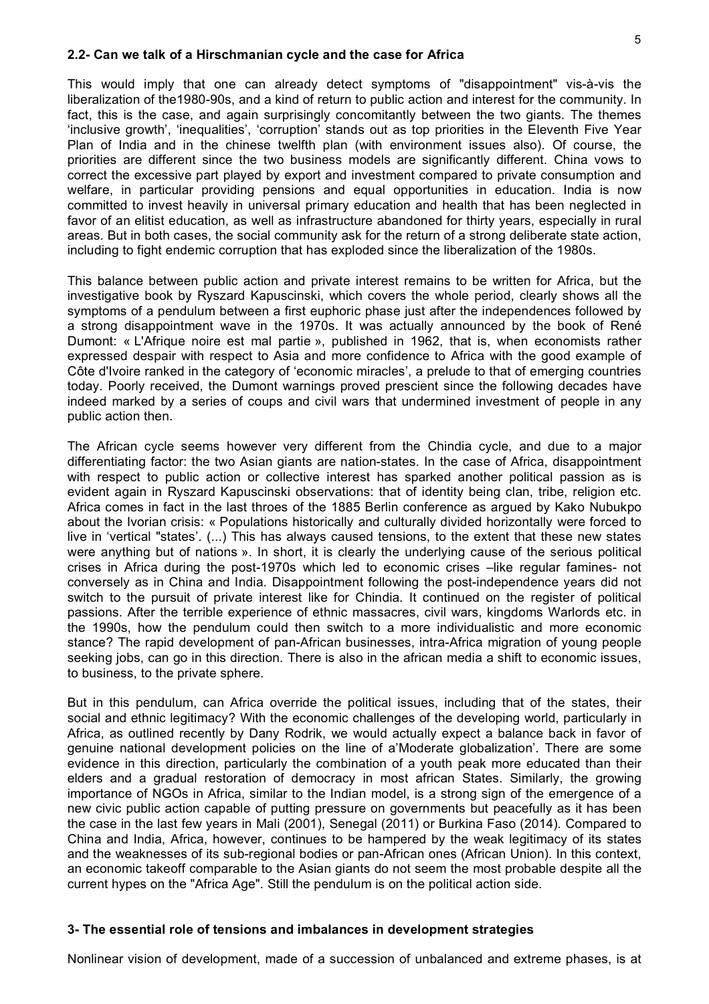#### **2.2- Can we talk of a Hirschmanian cycle and the case for Africa**

This would imply that one can already detect symptoms of "disappointment" vis-à-vis the liberalization of the1980-90s, and a kind of return to public action and interest for the community. In fact, this is the case, and again surprisingly concomitantly between the two giants. The themes 'inclusive growth', 'inequalities', 'corruption' stands out as top priorities in the Eleventh Five Year Plan of India and in the chinese twelfth plan (with environment issues also). Of course, the priorities are different since the two business models are significantly different. China vows to correct the excessive part played by export and investment compared to private consumption and welfare, in particular providing pensions and equal opportunities in education. India is now committed to invest heavily in universal primary education and health that has been neglected in favor of an elitist education, as well as infrastructure abandoned for thirty years, especially in rural areas. But in both cases, the social community ask for the return of a strong deliberate state action, including to fight endemic corruption that has exploded since the liberalization of the 1980s.

This balance between public action and private interest remains to be written for Africa, but the investigative book by Ryszard Kapuscinski, which covers the whole period, clearly shows all the symptoms of a pendulum between a first euphoric phase just after the independences followed by a strong disappointment wave in the 1970s. It was actually announced by the book of René Dumont: « L'Afrique noire est mal partie », published in 1962, that is, when economists rather expressed despair with respect to Asia and more confidence to Africa with the good example of Côte d'Ivoire ranked in the category of 'economic miracles', a prelude to that of emerging countries today. Poorly received, the Dumont warnings proved prescient since the following decades have indeed marked by a series of coups and civil wars that undermined investment of people in any public action then.

The African cycle seems however very different from the Chindia cycle, and due to a major differentiating factor: the two Asian giants are nation-states. In the case of Africa, disappointment with respect to public action or collective interest has sparked another political passion as is evident again in Ryszard Kapuscinski observations: that of identity being clan, tribe, religion etc. Africa comes in fact in the last throes of the 1885 Berlin conference as argued by Kako Nubukpo about the Ivorian crisis: « Populations historically and culturally divided horizontally were forced to live in 'vertical "states'. (...) This has always caused tensions, to the extent that these new states were anything but of nations ». In short, it is clearly the underlying cause of the serious political crises in Africa during the post-1970s which led to economic crises –like regular famines- not conversely as in China and India. Disappointment following the post-independence years did not switch to the pursuit of private interest like for Chindia. It continued on the register of political passions. After the terrible experience of ethnic massacres, civil wars, kingdoms Warlords etc. in the 1990s, how the pendulum could then switch to a more individualistic and more economic stance? The rapid development of pan-African businesses, intra-Africa migration of young people seeking jobs, can go in this direction. There is also in the african media a shift to economic issues, to business, to the private sphere.

But in this pendulum, can Africa override the political issues, including that of the states, their social and ethnic legitimacy? With the economic challenges of the developing world, particularly in Africa, as outlined recently by Dany Rodrik, we would actually expect a balance back in favor of genuine national development policies on the line of a'Moderate globalization'. There are some evidence in this direction, particularly the combination of a youth peak more educated than their elders and a gradual restoration of democracy in most african States. Similarly, the growing importance of NGOs in Africa, similar to the Indian model, is a strong sign of the emergence of a new civic public action capable of putting pressure on governments but peacefully as it has been the case in the last few years in Mali (2001), Senegal (2011) or Burkina Faso (2014). Compared to China and India, Africa, however, continues to be hampered by the weak legitimacy of its states and the weaknesses of its sub-regional bodies or pan-African ones (African Union). In this context, an economic takeoff comparable to the Asian giants do not seem the most probable despite all the current hypes on the "Africa Age". Still the pendulum is on the political action side.

### **3- The essential role of tensions and imbalances in development strategies**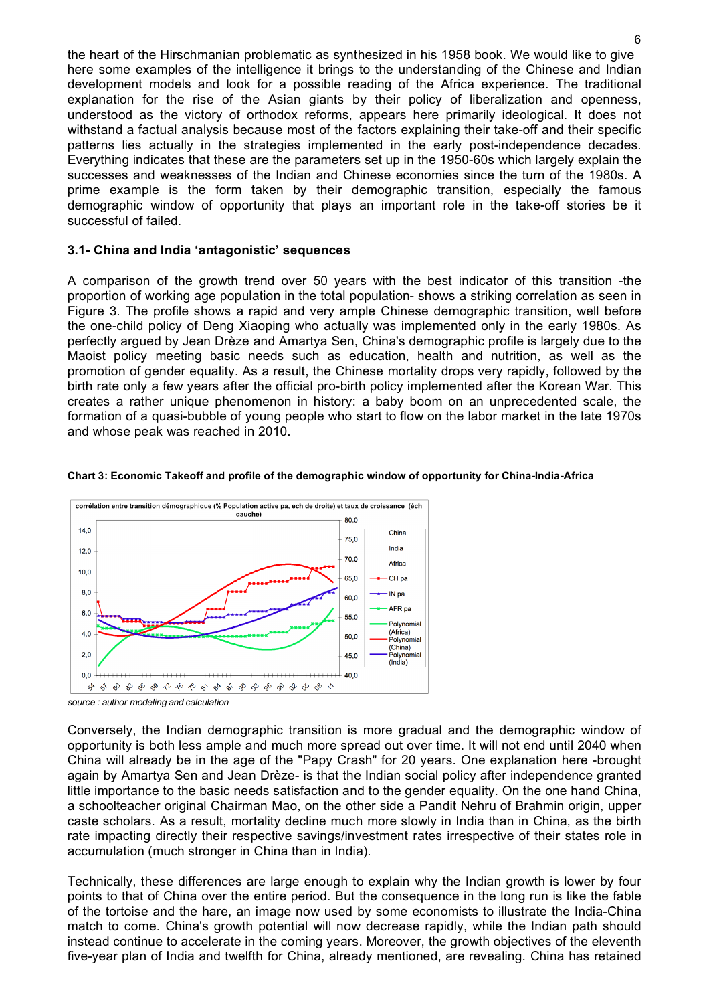the heart of the Hirschmanian problematic as synthesized in his 1958 book. We would like to give here some examples of the intelligence it brings to the understanding of the Chinese and Indian development models and look for a possible reading of the Africa experience. The traditional explanation for the rise of the Asian giants by their policy of liberalization and openness, understood as the victory of orthodox reforms, appears here primarily ideological. It does not withstand a factual analysis because most of the factors explaining their take-off and their specific patterns lies actually in the strategies implemented in the early post-independence decades. Everything indicates that these are the parameters set up in the 1950-60s which largely explain the successes and weaknesses of the Indian and Chinese economies since the turn of the 1980s. A prime example is the form taken by their demographic transition, especially the famous demographic window of opportunity that plays an important role in the take-off stories be it successful of failed.

### **3.1- China and India 'antagonistic' sequences**

A comparison of the growth trend over 50 years with the best indicator of this transition -the proportion of working age population in the total population- shows a striking correlation as seen in Figure 3. The profile shows a rapid and very ample Chinese demographic transition, well before the one-child policy of Deng Xiaoping who actually was implemented only in the early 1980s. As perfectly argued by Jean Drèze and Amartya Sen, China's demographic profile is largely due to the Maoist policy meeting basic needs such as education, health and nutrition, as well as the promotion of gender equality. As a result, the Chinese mortality drops very rapidly, followed by the birth rate only a few years after the official pro-birth policy implemented after the Korean War. This creates a rather unique phenomenon in history: a baby boom on an unprecedented scale, the formation of a quasi-bubble of young people who start to flow on the labor market in the late 1970s and whose peak was reached in 2010.



#### **Chart 3: Economic Takeoff and profile of the demographic window of opportunity for China-India-Africa**

Conversely, the Indian demographic transition is more gradual and the demographic window of opportunity is both less ample and much more spread out over time. It will not end until 2040 when China will already be in the age of the "Papy Crash" for 20 years. One explanation here -brought again by Amartya Sen and Jean Drèze- is that the Indian social policy after independence granted little importance to the basic needs satisfaction and to the gender equality. On the one hand China, a schoolteacher original Chairman Mao, on the other side a Pandit Nehru of Brahmin origin, upper caste scholars. As a result, mortality decline much more slowly in India than in China, as the birth rate impacting directly their respective savings/investment rates irrespective of their states role in accumulation (much stronger in China than in India).

Technically, these differences are large enough to explain why the Indian growth is lower by four points to that of China over the entire period. But the consequence in the long run is like the fable of the tortoise and the hare, an image now used by some economists to illustrate the India-China match to come. China's growth potential will now decrease rapidly, while the Indian path should instead continue to accelerate in the coming years. Moreover, the growth objectives of the eleventh five-year plan of India and twelfth for China, already mentioned, are revealing. China has retained

*source : author modeling and calculation*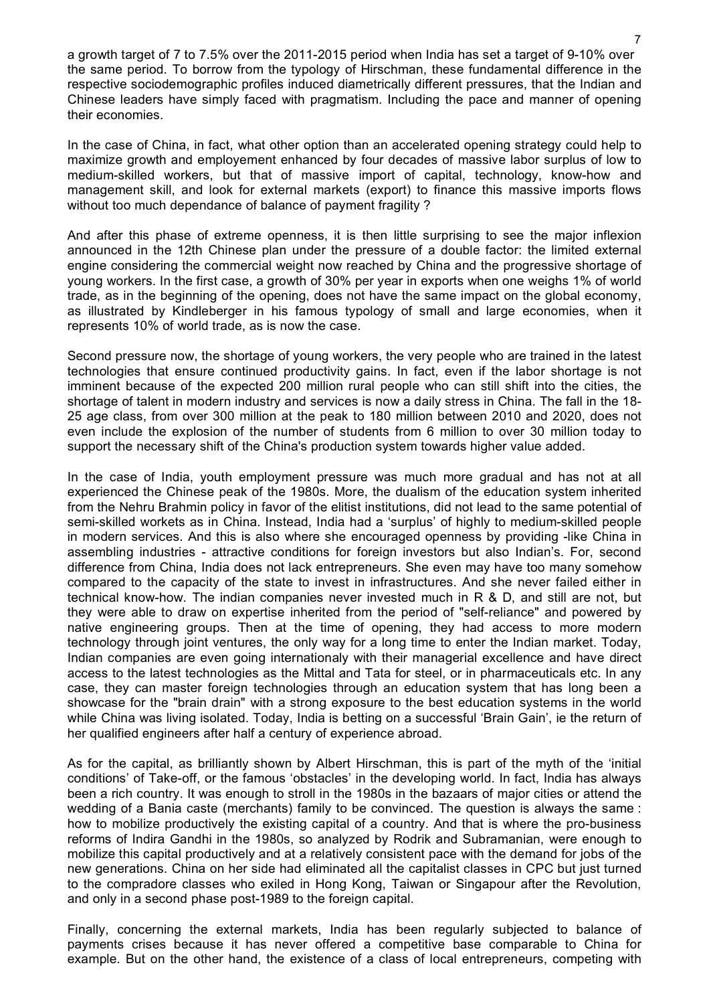a growth target of 7 to 7.5% over the 2011-2015 period when India has set a target of 9-10% over the same period. To borrow from the typology of Hirschman, these fundamental difference in the respective sociodemographic profiles induced diametrically different pressures, that the Indian and Chinese leaders have simply faced with pragmatism. Including the pace and manner of opening their economies.

In the case of China, in fact, what other option than an accelerated opening strategy could help to maximize growth and employement enhanced by four decades of massive labor surplus of low to medium-skilled workers, but that of massive import of capital, technology, know-how and management skill, and look for external markets (export) to finance this massive imports flows without too much dependance of balance of payment fragility?

And after this phase of extreme openness, it is then little surprising to see the major inflexion announced in the 12th Chinese plan under the pressure of a double factor: the limited external engine considering the commercial weight now reached by China and the progressive shortage of young workers. In the first case, a growth of 30% per year in exports when one weighs 1% of world trade, as in the beginning of the opening, does not have the same impact on the global economy, as illustrated by Kindleberger in his famous typology of small and large economies, when it represents 10% of world trade, as is now the case.

Second pressure now, the shortage of young workers, the very people who are trained in the latest technologies that ensure continued productivity gains. In fact, even if the labor shortage is not imminent because of the expected 200 million rural people who can still shift into the cities, the shortage of talent in modern industry and services is now a daily stress in China. The fall in the 18- 25 age class, from over 300 million at the peak to 180 million between 2010 and 2020, does not even include the explosion of the number of students from 6 million to over 30 million today to support the necessary shift of the China's production system towards higher value added.

In the case of India, youth employment pressure was much more gradual and has not at all experienced the Chinese peak of the 1980s. More, the dualism of the education system inherited from the Nehru Brahmin policy in favor of the elitist institutions, did not lead to the same potential of semi-skilled workets as in China. Instead, India had a 'surplus' of highly to medium-skilled people in modern services. And this is also where she encouraged openness by providing -like China in assembling industries - attractive conditions for foreign investors but also Indian's. For, second difference from China, India does not lack entrepreneurs. She even may have too many somehow compared to the capacity of the state to invest in infrastructures. And she never failed either in technical know-how. The indian companies never invested much in R & D, and still are not, but they were able to draw on expertise inherited from the period of "self-reliance" and powered by native engineering groups. Then at the time of opening, they had access to more modern technology through joint ventures, the only way for a long time to enter the Indian market. Today, Indian companies are even going internationaly with their managerial excellence and have direct access to the latest technologies as the Mittal and Tata for steel, or in pharmaceuticals etc. In any case, they can master foreign technologies through an education system that has long been a showcase for the "brain drain" with a strong exposure to the best education systems in the world while China was living isolated. Today, India is betting on a successful 'Brain Gain', ie the return of her qualified engineers after half a century of experience abroad.

As for the capital, as brilliantly shown by Albert Hirschman, this is part of the myth of the 'initial conditions' of Take-off, or the famous 'obstacles' in the developing world. In fact, India has always been a rich country. It was enough to stroll in the 1980s in the bazaars of major cities or attend the wedding of a Bania caste (merchants) family to be convinced. The question is always the same : how to mobilize productively the existing capital of a country. And that is where the pro-business reforms of Indira Gandhi in the 1980s, so analyzed by Rodrik and Subramanian, were enough to mobilize this capital productively and at a relatively consistent pace with the demand for jobs of the new generations. China on her side had eliminated all the capitalist classes in CPC but just turned to the compradore classes who exiled in Hong Kong, Taiwan or Singapour after the Revolution, and only in a second phase post-1989 to the foreign capital.

Finally, concerning the external markets, India has been regularly subjected to balance of payments crises because it has never offered a competitive base comparable to China for example. But on the other hand, the existence of a class of local entrepreneurs, competing with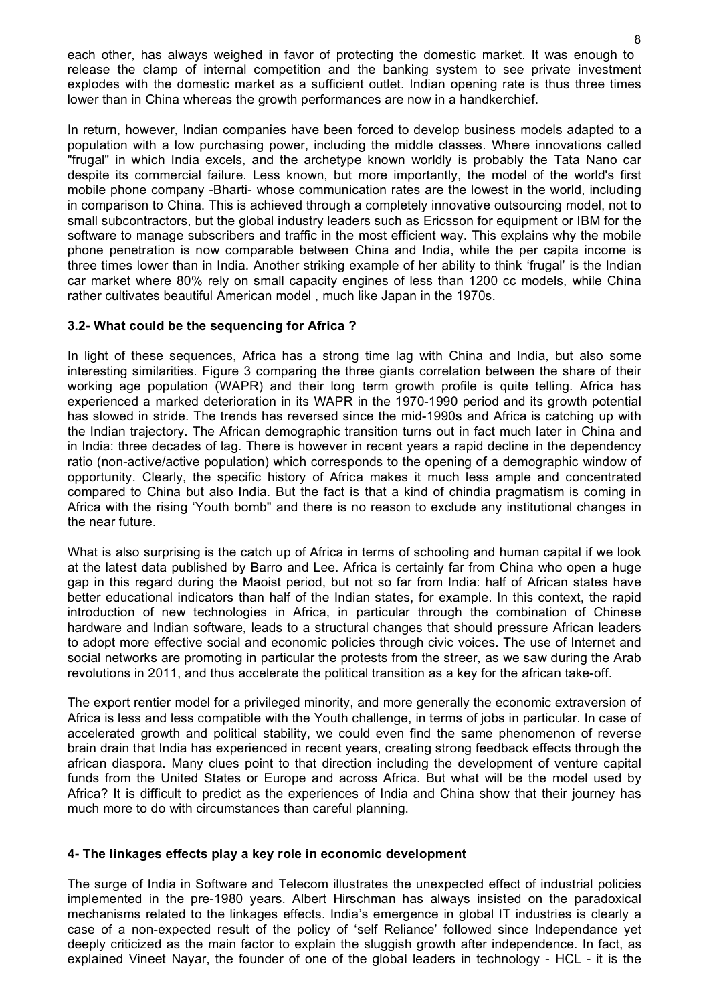each other, has always weighed in favor of protecting the domestic market. It was enough to release the clamp of internal competition and the banking system to see private investment explodes with the domestic market as a sufficient outlet. Indian opening rate is thus three times lower than in China whereas the growth performances are now in a handkerchief.

In return, however, Indian companies have been forced to develop business models adapted to a population with a low purchasing power, including the middle classes. Where innovations called "frugal" in which India excels, and the archetype known worldly is probably the Tata Nano car despite its commercial failure. Less known, but more importantly, the model of the world's first mobile phone company -Bharti- whose communication rates are the lowest in the world, including in comparison to China. This is achieved through a completely innovative outsourcing model, not to small subcontractors, but the global industry leaders such as Ericsson for equipment or IBM for the software to manage subscribers and traffic in the most efficient way. This explains why the mobile phone penetration is now comparable between China and India, while the per capita income is three times lower than in India. Another striking example of her ability to think 'frugal' is the Indian car market where 80% rely on small capacity engines of less than 1200 cc models, while China rather cultivates beautiful American model , much like Japan in the 1970s.

## **3.2- What could be the sequencing for Africa ?**

In light of these sequences, Africa has a strong time lag with China and India, but also some interesting similarities. Figure 3 comparing the three giants correlation between the share of their working age population (WAPR) and their long term growth profile is quite telling. Africa has experienced a marked deterioration in its WAPR in the 1970-1990 period and its growth potential has slowed in stride. The trends has reversed since the mid-1990s and Africa is catching up with the Indian trajectory. The African demographic transition turns out in fact much later in China and in India: three decades of lag. There is however in recent years a rapid decline in the dependency ratio (non-active/active population) which corresponds to the opening of a demographic window of opportunity. Clearly, the specific history of Africa makes it much less ample and concentrated compared to China but also India. But the fact is that a kind of chindia pragmatism is coming in Africa with the rising 'Youth bomb" and there is no reason to exclude any institutional changes in the near future.

What is also surprising is the catch up of Africa in terms of schooling and human capital if we look at the latest data published by Barro and Lee. Africa is certainly far from China who open a huge gap in this regard during the Maoist period, but not so far from India: half of African states have better educational indicators than half of the Indian states, for example. In this context, the rapid introduction of new technologies in Africa, in particular through the combination of Chinese hardware and Indian software, leads to a structural changes that should pressure African leaders to adopt more effective social and economic policies through civic voices. The use of Internet and social networks are promoting in particular the protests from the streer, as we saw during the Arab revolutions in 2011, and thus accelerate the political transition as a key for the african take-off.

The export rentier model for a privileged minority, and more generally the economic extraversion of Africa is less and less compatible with the Youth challenge, in terms of jobs in particular. In case of accelerated growth and political stability, we could even find the same phenomenon of reverse brain drain that India has experienced in recent years, creating strong feedback effects through the african diaspora. Many clues point to that direction including the development of venture capital funds from the United States or Europe and across Africa. But what will be the model used by Africa? It is difficult to predict as the experiences of India and China show that their journey has much more to do with circumstances than careful planning.

### **4- The linkages effects play a key role in economic development**

The surge of India in Software and Telecom illustrates the unexpected effect of industrial policies implemented in the pre-1980 years. Albert Hirschman has always insisted on the paradoxical mechanisms related to the linkages effects. India's emergence in global IT industries is clearly a case of a non-expected result of the policy of 'self Reliance' followed since Independance yet deeply criticized as the main factor to explain the sluggish growth after independence. In fact, as explained Vineet Nayar, the founder of one of the global leaders in technology - HCL - it is the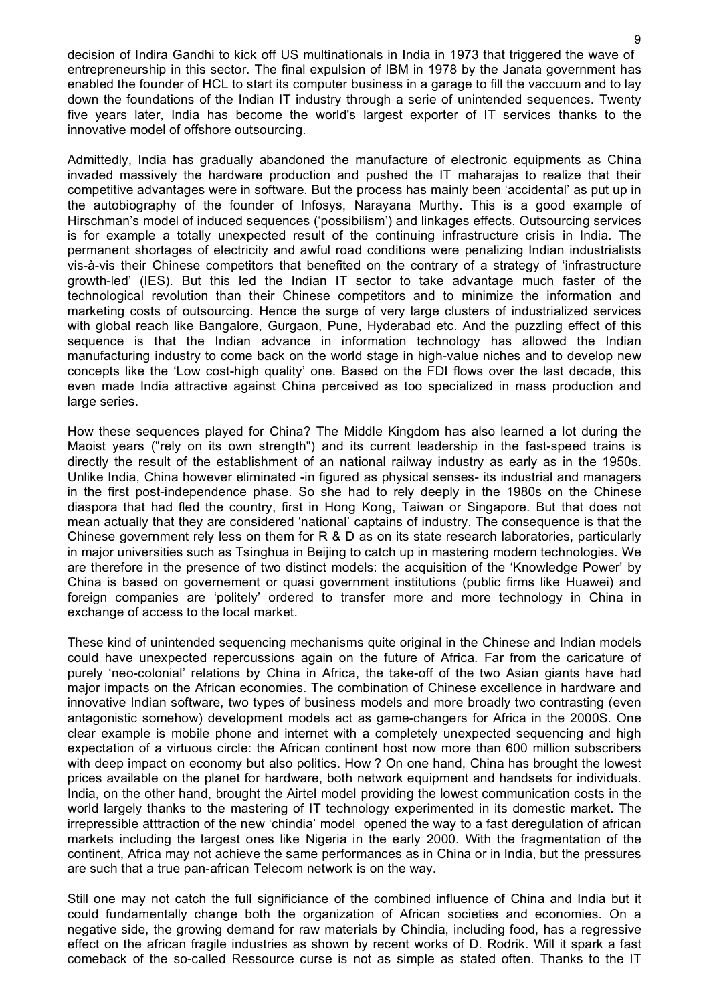decision of Indira Gandhi to kick off US multinationals in India in 1973 that triggered the wave of entrepreneurship in this sector. The final expulsion of IBM in 1978 by the Janata government has enabled the founder of HCL to start its computer business in a garage to fill the vaccuum and to lay down the foundations of the Indian IT industry through a serie of unintended sequences. Twenty five years later, India has become the world's largest exporter of IT services thanks to the innovative model of offshore outsourcing.

Admittedly, India has gradually abandoned the manufacture of electronic equipments as China invaded massively the hardware production and pushed the IT maharajas to realize that their competitive advantages were in software. But the process has mainly been 'accidental' as put up in the autobiography of the founder of Infosys, Narayana Murthy. This is a good example of Hirschman's model of induced sequences ('possibilism') and linkages effects. Outsourcing services is for example a totally unexpected result of the continuing infrastructure crisis in India. The permanent shortages of electricity and awful road conditions were penalizing Indian industrialists vis-à-vis their Chinese competitors that benefited on the contrary of a strategy of 'infrastructure growth-led' (IES). But this led the Indian IT sector to take advantage much faster of the technological revolution than their Chinese competitors and to minimize the information and marketing costs of outsourcing. Hence the surge of very large clusters of industrialized services with global reach like Bangalore, Gurgaon, Pune, Hyderabad etc. And the puzzling effect of this sequence is that the Indian advance in information technology has allowed the Indian manufacturing industry to come back on the world stage in high-value niches and to develop new concepts like the 'Low cost-high quality' one. Based on the FDI flows over the last decade, this even made India attractive against China perceived as too specialized in mass production and large series.

How these sequences played for China? The Middle Kingdom has also learned a lot during the Maoist years ("rely on its own strength") and its current leadership in the fast-speed trains is directly the result of the establishment of an national railway industry as early as in the 1950s. Unlike India, China however eliminated -in figured as physical senses- its industrial and managers in the first post-independence phase. So she had to rely deeply in the 1980s on the Chinese diaspora that had fled the country, first in Hong Kong, Taiwan or Singapore. But that does not mean actually that they are considered 'national' captains of industry. The consequence is that the Chinese government rely less on them for R & D as on its state research laboratories, particularly in major universities such as Tsinghua in Beijing to catch up in mastering modern technologies. We are therefore in the presence of two distinct models: the acquisition of the 'Knowledge Power' by China is based on governement or quasi government institutions (public firms like Huawei) and foreign companies are 'politely' ordered to transfer more and more technology in China in exchange of access to the local market.

These kind of unintended sequencing mechanisms quite original in the Chinese and Indian models could have unexpected repercussions again on the future of Africa. Far from the caricature of purely 'neo-colonial' relations by China in Africa, the take-off of the two Asian giants have had major impacts on the African economies. The combination of Chinese excellence in hardware and innovative Indian software, two types of business models and more broadly two contrasting (even antagonistic somehow) development models act as game-changers for Africa in the 2000S. One clear example is mobile phone and internet with a completely unexpected sequencing and high expectation of a virtuous circle: the African continent host now more than 600 million subscribers with deep impact on economy but also politics. How ? On one hand, China has brought the lowest prices available on the planet for hardware, both network equipment and handsets for individuals. India, on the other hand, brought the Airtel model providing the lowest communication costs in the world largely thanks to the mastering of IT technology experimented in its domestic market. The irrepressible atttraction of the new 'chindia' model opened the way to a fast deregulation of african markets including the largest ones like Nigeria in the early 2000. With the fragmentation of the continent, Africa may not achieve the same performances as in China or in India, but the pressures are such that a true pan-african Telecom network is on the way.

Still one may not catch the full significiance of the combined influence of China and India but it could fundamentally change both the organization of African societies and economies. On a negative side, the growing demand for raw materials by Chindia, including food, has a regressive effect on the african fragile industries as shown by recent works of D. Rodrik. Will it spark a fast comeback of the so-called Ressource curse is not as simple as stated often. Thanks to the IT